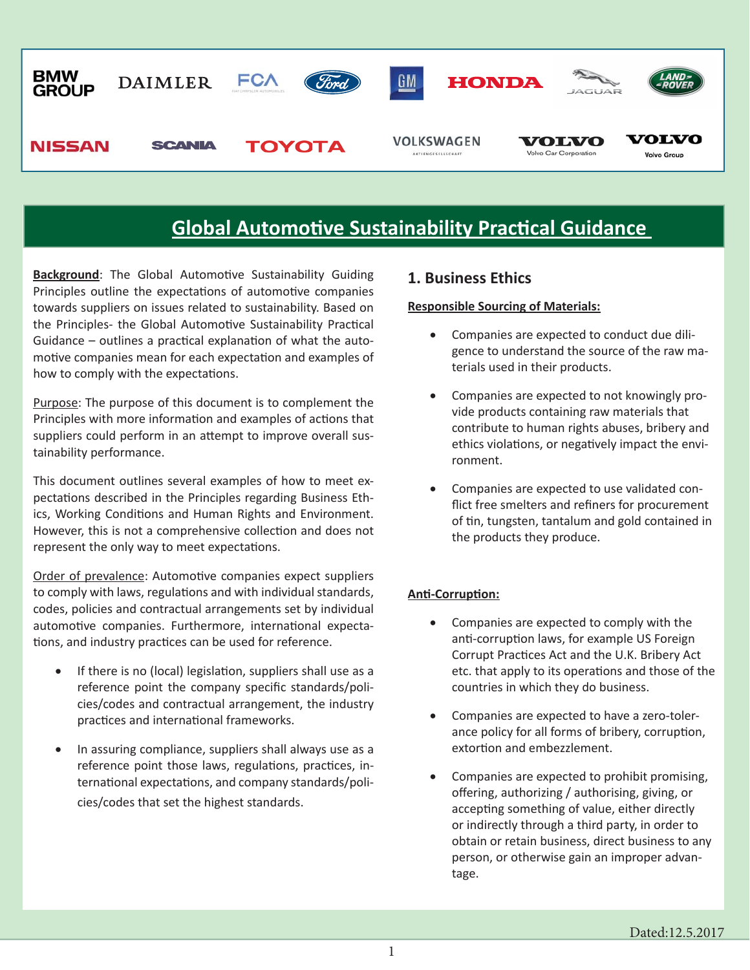

**Background:** The Global Automotive Sustainability Guiding Principles outline the expectations of automotive companies towards suppliers on issues related to sustainability. Based on the Principles- the Global Automotive Sustainability Practical Guidance – outlines a practical explanation of what the automotive companies mean for each expectation and examples of how to comply with the expectations.

Purpose: The purpose of this document is to complement the Principles with more information and examples of actions that suppliers could perform in an attempt to improve overall sustainability performance.

This document outlines several examples of how to meet expectations described in the Principles regarding Business Ethics, Working Conditions and Human Rights and Environment. However, this is not a comprehensive collection and does not represent the only way to meet expectations.

Order of prevalence: Automotive companies expect suppliers to comply with laws, regulations and with individual standards, codes, policies and contractual arrangements set by individual automotive companies. Furthermore, international expectations, and industry practices can be used for reference.

- If there is no (local) legislation, suppliers shall use as a reference point the company specific standards/policies/codes and contractual arrangement, the industry practices and international frameworks.
- In assuring compliance, suppliers shall always use as a reference point those laws, regulations, practices, international expectations, and company standards/policies/codes that set the highest standards.

#### **1. Business Ethics**

#### **Responsible Sourcing of Materials:**

- Companies are expected to conduct due diligence to understand the source of the raw materials used in their products.
- Companies are expected to not knowingly provide products containing raw materials that contribute to human rights abuses, bribery and ethics violations, or negatively impact the environment.
- Companies are expected to use validated conflict free smelters and refiners for procurement of tin, tungsten, tantalum and gold contained in the products they produce.

#### **Anti-Corruption:**

- Companies are expected to comply with the anti-corruption laws, for example US Foreign Corrupt Practices Act and the U.K. Bribery Act etc. that apply to its operations and those of the countries in which they do business.
- Companies are expected to have a zero-tolerance policy for all forms of bribery, corruption, extortion and embezzlement.
- Companies are expected to prohibit promising, offering, authorizing / authorising, giving, or accepting something of value, either directly or indirectly through a third party, in order to obtain or retain business, direct business to any person, or otherwise gain an improper advantage.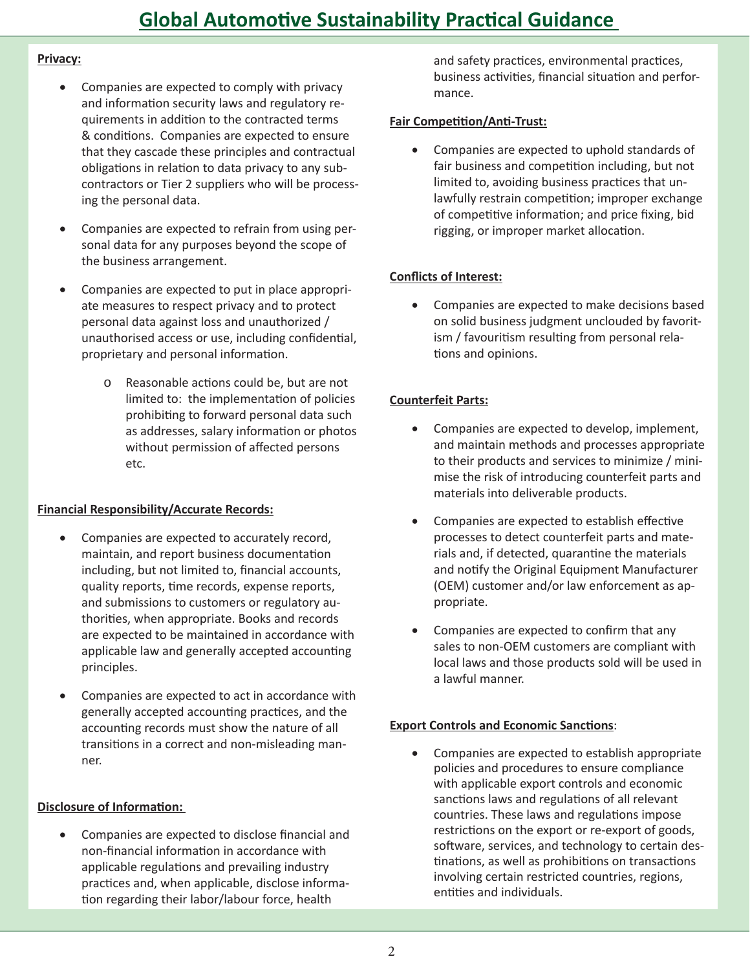#### Privacy:

- Companies are expected to comply with privacy and information security laws and regulatory requirements in addition to the contracted terms & conditions. Companies are expected to ensure that they cascade these principles and contractual obligations in relation to data privacy to any subcontractors or Tier 2 suppliers who will be processing the personal data.
- Companies are expected to refrain from using personal data for any purposes beyond the scope of the business arrangement.
- Companies are expected to put in place appropriate measures to respect privacy and to protect personal data against loss and unauthorized / unauthorised access or use, including confidential, proprietary and personal information.
	- Reasonable actions could be, but are not  $\circ$ limited to: the implementation of policies prohibiting to forward personal data such as addresses, salary information or photos without permission of affected persons etc.

#### **Financial Responsibility/Accurate Records:**

- Companies are expected to accurately record, maintain, and report business documentation including, but not limited to, financial accounts, quality reports, time records, expense reports, and submissions to customers or regulatory authorities, when appropriate. Books and records are expected to be maintained in accordance with applicable law and generally accepted accounting principles.
- Companies are expected to act in accordance with generally accepted accounting practices, and the accounting records must show the nature of all transitions in a correct and non-misleading manner.

#### **Disclosure of Information:**

Companies are expected to disclose financial and non-financial information in accordance with applicable regulations and prevailing industry practices and, when applicable, disclose information regarding their labor/labour force, health

and safety practices, environmental practices, business activities, financial situation and performance.

### **Fair Competition/Anti-Trust:**

Companies are expected to uphold standards of fair business and competition including, but not limited to, avoiding business practices that unlawfully restrain competition; improper exchange of competitive information; and price fixing, bid rigging, or improper market allocation.

## **Conflicts of Interest:**

Companies are expected to make decisions based on solid business judgment unclouded by favoritism / favouritism resulting from personal relations and opinions.

## **Counterfeit Parts:**

- Companies are expected to develop, implement,  $\bullet$ and maintain methods and processes appropriate to their products and services to minimize / minimise the risk of introducing counterfeit parts and materials into deliverable products.
- Companies are expected to establish effective processes to detect counterfeit parts and materials and, if detected, quarantine the materials and notify the Original Equipment Manufacturer (OEM) customer and/or law enforcement as appropriate.
- Companies are expected to confirm that any sales to non-OEM customers are compliant with local laws and those products sold will be used in a lawful manner.

#### **Export Controls and Economic Sanctions:**

 $\bullet$ Companies are expected to establish appropriate policies and procedures to ensure compliance with applicable export controls and economic sanctions laws and regulations of all relevant countries. These laws and regulations impose restrictions on the export or re-export of goods, software, services, and technology to certain destinations, as well as prohibitions on transactions involving certain restricted countries, regions, entities and individuals.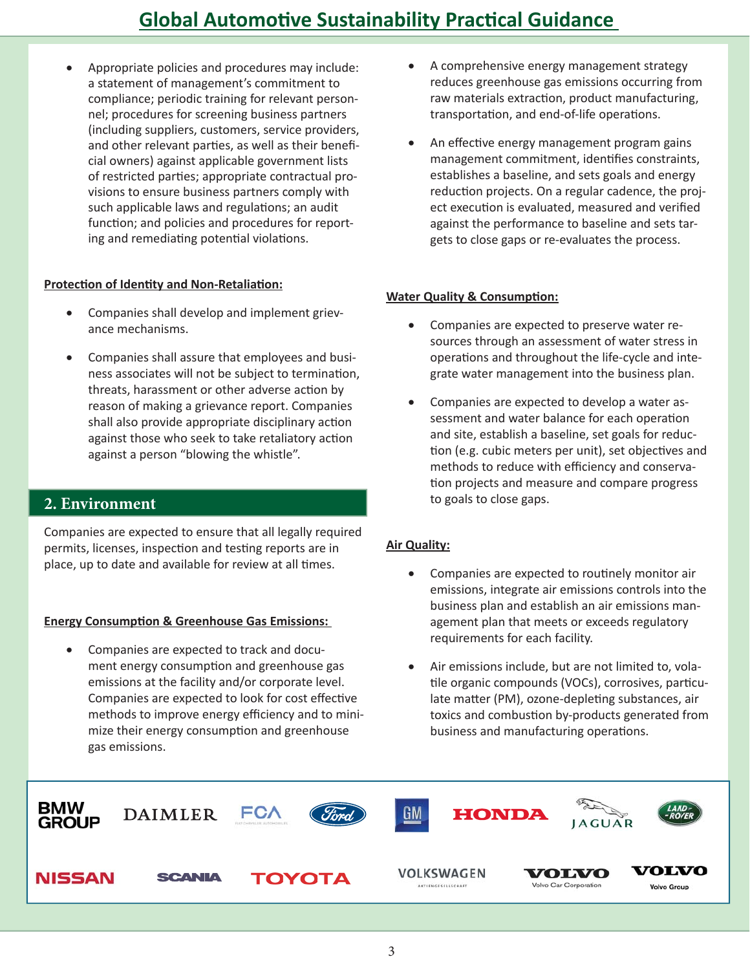Appropriate policies and procedures may include: a statement of management's commitment to compliance; periodic training for relevant personnel; procedures for screening business partners (including suppliers, customers, service providers, and other relevant parties, as well as their beneficial owners) against applicable government lists of restricted parties; appropriate contractual provisions to ensure business partners comply with such applicable laws and regulations; an audit function; and policies and procedures for reporting and remediating potential violations.

#### **Protection of Identity and Non-Retaliation:**

- Companies shall develop and implement grievance mechanisms.
- Companies shall assure that employees and business associates will not be subject to termination, threats, harassment or other adverse action by reason of making a grievance report. Companies shall also provide appropriate disciplinary action against those who seek to take retaliatory action against a person "blowing the whistle".

### **2. Environment**

Companies are expected to ensure that all legally required permits, licenses, inspection and testing reports are in place, up to date and available for review at all times.

#### **Energy Consumption & Greenhouse Gas Emissions:**

 Companies are expected to track and document energy consumption and greenhouse gas emissions at the facility and/or corporate level. Companies are expected to look for cost effective methods to improve energy efficiency and to minimize their energy consumption and greenhouse gas emissions.

- A comprehensive energy management strategy reduces greenhouse gas emissions occurring from raw materials extraction, product manufacturing, transportation, and end-of-life operations.
- An effective energy management program gains management commitment, identifies constraints, establishes a baseline, and sets goals and energy reduction projects. On a regular cadence, the project execution is evaluated, measured and verified against the performance to baseline and sets targets to close gaps or re-evaluates the process.

#### **Water Quality & Consumption:**

- Companies are expected to preserve water resources through an assessment of water stress in operations and throughout the life-cycle and integrate water management into the business plan.
- Companies are expected to develop a water assessment and water balance for each operation and site, establish a baseline, set goals for reduction (e.g. cubic meters per unit), set objectives and methods to reduce with efficiency and conservation projects and measure and compare progress to goals to close gaps.

#### **Air Quality:**

- Companies are expected to routinely monitor air emissions, integrate air emissions controls into the business plan and establish an air emissions management plan that meets or exceeds regulatory requirements for each facility.
- Air emissions include, but are not limited to, volatile organic compounds (VOCs), corrosives, particulate matter (PM), ozone-depleting substances, air toxics and combustion by-products generated from business and manufacturing operations.

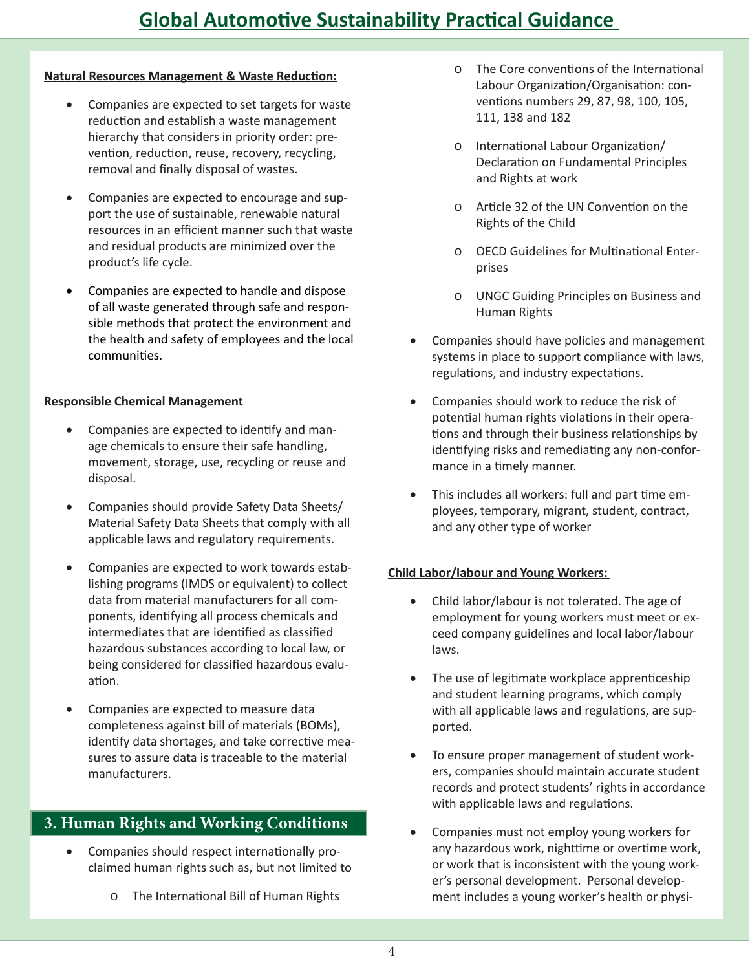#### **Natural Resources Management & Waste Reduction:**

- Companies are expected to set targets for waste reduction and establish a waste management hierarchy that considers in priority order: prevention, reduction, reuse, recovery, recycling, removal and finally disposal of wastes.
- Companies are expected to encourage and support the use of sustainable, renewable natural resources in an efficient manner such that waste and residual products are minimized over the product's life cycle.
- Companies are expected to handle and dispose of all waste generated through safe and responsible methods that protect the environment and the health and safety of employees and the local communities.

### **Responsible Chemical Management**

- Companies are expected to identify and manage chemicals to ensure their safe handling, movement, storage, use, recycling or reuse and disposal.
- Companies should provide Safety Data Sheets/ Material Safety Data Sheets that comply with all applicable laws and regulatory requirements.
- Companies are expected to work towards establishing programs (IMDS or equivalent) to collect data from material manufacturers for all components, identifying all process chemicals and intermediates that are identified as classified hazardous substances according to local law, or being considered for classified hazardous evaluation.
- Companies are expected to measure data completeness against bill of materials (BOMs), identify data shortages, and take corrective measures to assure data is traceable to the material manufacturers.

## 3. Human Rights and Working Conditions

- Companies should respect internationally proclaimed human rights such as, but not limited to
	- o The International Bill of Human Rights
- o The Core conventions of the International Labour Organization/Organisation: conventions numbers 29, 87, 98, 100, 105, 111, 138 and 182
- International Labour Organization/  $\circ$ Declaration on Fundamental Principles and Rights at work
- $\circ$ Article 32 of the UN Convention on the Rights of the Child
- o OECD Guidelines for Multinational Enterprises
- **UNGC Guiding Principles on Business and**  $\circ$ Human Rights
- Companies should have policies and management systems in place to support compliance with laws, regulations, and industry expectations.
- Companies should work to reduce the risk of potential human rights violations in their operations and through their business relationships by identifying risks and remediating any non-conformance in a timely manner.
- This includes all workers: full and part time employees, temporary, migrant, student, contract, and any other type of worker

### **Child Labor/labour and Young Workers:**

- Child labor/labour is not tolerated. The age of employment for young workers must meet or exceed company guidelines and local labor/labour laws.
- The use of legitimate workplace apprenticeship and student learning programs, which comply with all applicable laws and regulations, are supported.
- To ensure proper management of student workers, companies should maintain accurate student records and protect students' rights in accordance with applicable laws and regulations.
- Companies must not employ young workers for any hazardous work, nighttime or overtime work, or work that is inconsistent with the young worker's personal development. Personal development includes a young worker's health or physi-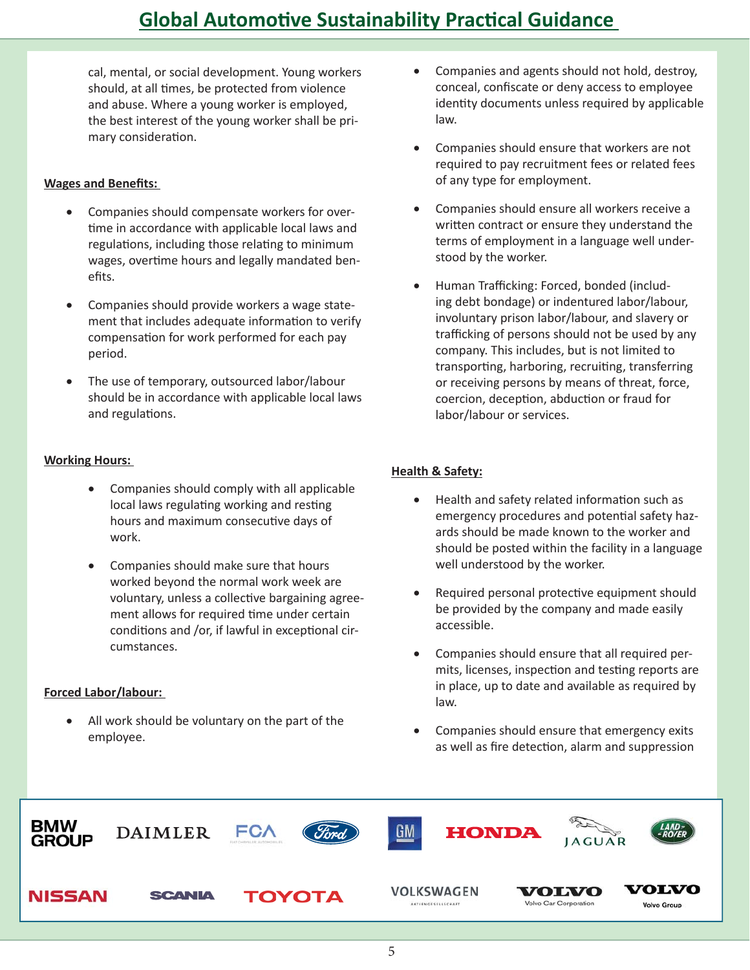cal, mental, or social development. Young workers should, at all times, be protected from violence and abuse. Where a young worker is employed, the best interest of the young worker shall be primary consideration.

#### **Wages and Benefits:**

- Companies should compensate workers for overtime in accordance with applicable local laws and regulations, including those relating to minimum wages, overtime hours and legally mandated benefits.
- Companies should provide workers a wage statement that includes adequate information to verify compensation for work performed for each pay period.
- The use of temporary, outsourced labor/labour should be in accordance with applicable local laws and regulations.

#### **Working Hours:**

- Companies should comply with all applicable local laws regulating working and resting hours and maximum consecutive days of work.
- Companies should make sure that hours worked beyond the normal work week are voluntary, unless a collective bargaining agreement allows for required time under certain conditions and /or, if lawful in exceptional circumstances.

#### **Forced Labor/labour:**

 All work should be voluntary on the part of the employee.

- Companies and agents should not hold, destroy, conceal, confiscate or deny access to employee identity documents unless required by applicable law.
- Companies should ensure that workers are not required to pay recruitment fees or related fees of any type for employment.
- Companies should ensure all workers receive a written contract or ensure they understand the terms of employment in a language well understood by the worker.
- Human Trafficking: Forced, bonded (including debt bondage) or indentured labor/labour, involuntary prison labor/labour, and slavery or trafficking of persons should not be used by any company. This includes, but is not limited to transporting, harboring, recruiting, transferring or receiving persons by means of threat, force, coercion, deception, abduction or fraud for labor/labour or services.

#### **Health & Safety:**

- Health and safety related information such as emergency procedures and potential safety hazards should be made known to the worker and should be posted within the facility in a language well understood by the worker.
- Required personal protective equipment should be provided by the company and made easily accessible.
- Companies should ensure that all required permits, licenses, inspection and testing reports are in place, up to date and available as required by law.
- Companies should ensure that emergency exits as well as fire detection, alarm and suppression